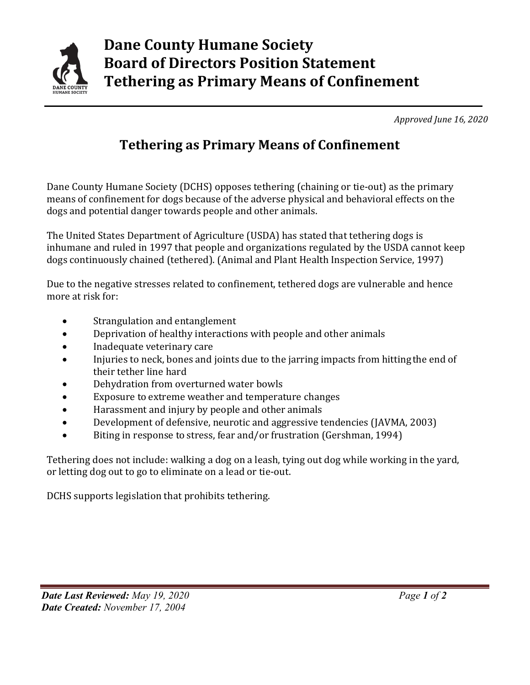

 *Approved June 16, 2020*

## **Tethering as Primary Means of Confinement**

Dane County Humane Society (DCHS) opposes tethering (chaining or tie-out) as the primary means of confinement for dogs because of the adverse physical and behavioral effects on the dogs and potential danger towards people and other animals.

The United States Department of Agriculture (USDA) has stated that tethering dogs is inhumane and ruled in 1997 that people and organizations regulated by the USDA cannot keep dogs continuously chained (tethered). (Animal and Plant Health Inspection Service, 1997)

Due to the negative stresses related to confinement, tethered dogs are vulnerable and hence more at risk for:

- Strangulation and entanglement
- Deprivation of healthy interactions with people and other animals
- Inadequate veterinary care
- Injuries to neck, bones and joints due to the jarring impacts from hitting the end of their tether line hard
- Dehydration from overturned water bowls
- Exposure to extreme weather and temperature changes
- Harassment and injury by people and other animals
- Development of defensive, neurotic and aggressive tendencies (JAVMA, 2003)
- Biting in response to stress, fear and/or frustration (Gershman, 1994)

Tethering does not include: walking a dog on a leash, tying out dog while working in the yard, or letting dog out to go to eliminate on a lead or tie-out.

DCHS supports legislation that prohibits tethering.